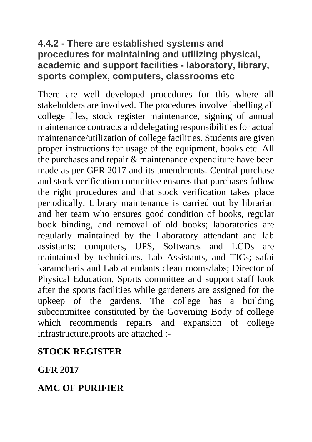## **4.4.2 - There are established systems and procedures for maintaining and utilizing physical, academic and support facilities - laboratory, library, sports complex, computers, classrooms etc**

There are well developed procedures for this where all stakeholders are involved. The procedures involve labelling all college files, stock register maintenance, signing of annual maintenance contracts and delegating responsibilities for actual maintenance/utilization of college facilities. Students are given proper instructions for usage of the equipment, books etc. All the purchases and repair & maintenance expenditure have been made as per GFR 2017 and its amendments. Central purchase and stock verification committee ensures that purchases follow the right procedures and that stock verification takes place periodically. Library maintenance is carried out by librarian and her team who ensures good condition of books, regular book binding, and removal of old books; laboratories are regularly maintained by the Laboratory attendant and lab assistants; computers, UPS, Softwares and LCDs are maintained by technicians, Lab Assistants, and TICs; safai karamcharis and Lab attendants clean rooms/labs; Director of Physical Education, Sports committee and support staff look after the sports facilities while gardeners are assigned for the upkeep of the gardens. The college has a building subcommittee constituted by the Governing Body of college which recommends repairs and expansion of college infrastructure.proofs are attached :-

## **STOCK REGISTER**

**GFR 2017**

## **AMC OF PURIFIER**